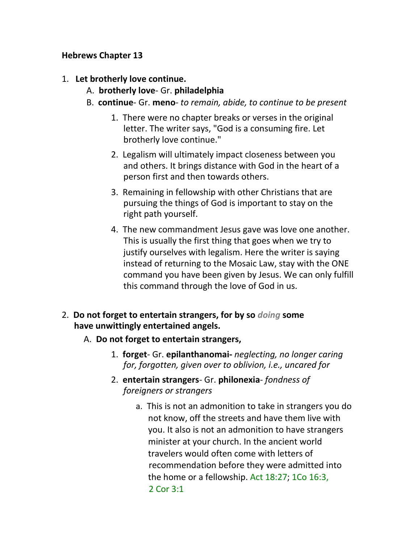## **Hebrews Chapter 13**

- 1. **Let brotherly love continue.**
	- A. **brotherly love** Gr. **philadelphia**
	- B. **continue** Gr. **meno** *to remain, abide, to continue to be present*
		- 1. There were no chapter breaks or verses in the original letter. The writer says, "God is a consuming fire. Let brotherly love continue."
		- 2. Legalism will ultimately impact closeness between you and others. It brings distance with God in the heart of a person first and then towards others.
		- 3. Remaining in fellowship with other Christians that are pursuing the things of God is important to stay on the right path yourself.
		- 4. The new commandment Jesus gave was love one another. This is usually the first thing that goes when we try to justify ourselves with legalism. Here the writer is saying instead of returning to the Mosaic Law, stay with the ONE command you have been given by Jesus. We can only fulfill this command through the love of God in us.
- 2. **Do not forget to entertain strangers, for by so** *doing* **some have unwittingly entertained angels.**
	- A. **Do not forget to entertain strangers,**
		- 1. **forget** Gr. **epilanthanomai-** *neglecting, no longer caring for, forgotten, given over to oblivion, i.e., uncared for*
		- 2. **entertain strangers** Gr. **philonexia** *fondness of foreigners or strangers*
			- a. This is not an admonition to take in strangers you do not know, off the streets and have them live with you. It also is not an admonition to have strangers minister at your church. In the ancient world travelers would often come with letters of recommendation before they were admitted into the home or a fellowship. Act 18:27; 1Co 16:3, 2 Cor 3:1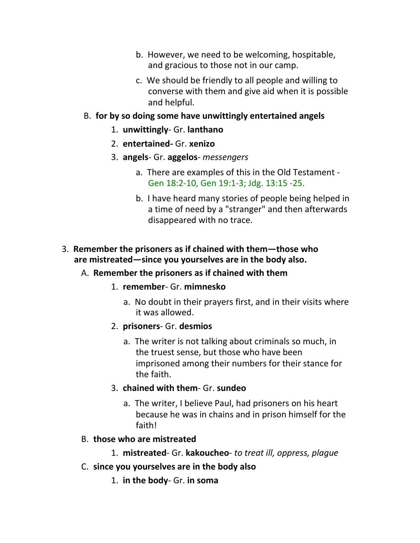- b. However, we need to be welcoming, hospitable, and gracious to those not in our camp.
- c. We should be friendly to all people and willing to converse with them and give aid when it is possible and helpful.

#### B. **for by so doing some have unwittingly entertained angels**

- 1. **unwittingly** Gr. **lanthano**
- 2. **entertained-** Gr. **xenizo**
- 3. **angels** Gr. **aggelos** *messengers*
	- a. There are examples of this in the Old Testament Gen 18:2-10, Gen 19:1-3; Jdg. 13:15 -25.
	- b. I have heard many stories of people being helped in a time of need by a "stranger" and then afterwards disappeared with no trace.

## 3. **Remember the prisoners as if chained with them—those who are mistreated—since you yourselves are in the body also.**

#### A. **Remember the prisoners as if chained with them**

- 1. **remember** Gr. **mimnesko**
	- a. No doubt in their prayers first, and in their visits where it was allowed.
- 2. **prisoners** Gr. **desmios**
	- a. The writer is not talking about criminals so much, in the truest sense, but those who have been imprisoned among their numbers for their stance for the faith.
- 3. **chained with them** Gr. **sundeo**
	- a. The writer, I believe Paul, had prisoners on his heart because he was in chains and in prison himself for the faith!

#### B. **those who are mistreated**

- 1. **mistreated** Gr. **kakoucheo** *to treat ill, oppress, plague*
- C. **since you yourselves are in the body also**
	- 1. **in the body** Gr. **in soma**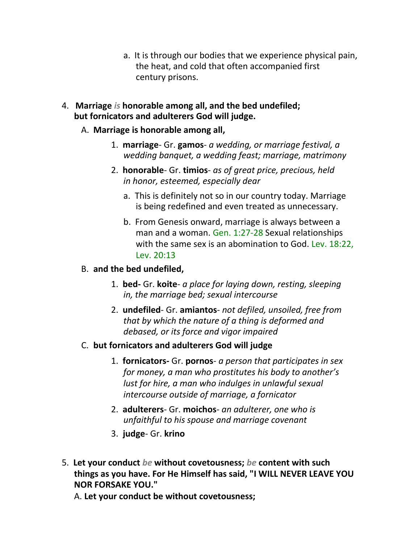- a. It is through our bodies that we experience physical pain, the heat, and cold that often accompanied first century prisons.
- 4. **Marriage** *is* **honorable among all, and the bed undefiled; but fornicators and adulterers God will judge.**

#### A. **Marriage is honorable among all,**

- 1. **marriage** Gr. **gamos** *a wedding, or marriage festival, a wedding banquet, a wedding feast; marriage, matrimony*
- 2. **honorable** Gr. **timios** *as of great price, precious, held in honor, esteemed, especially dear*
	- a. This is definitely not so in our country today. Marriage is being redefined and even treated as unnecessary.
	- b. From Genesis onward, marriage is always between a man and a woman. Gen. 1:27-28 Sexual relationships with the same sex is an abomination to God. Lev. 18:22, Lev. 20:13

#### B. **and the bed undefiled,**

- 1. **bed-** Gr. **koite** *a place for laying down, resting, sleeping in, the marriage bed; sexual intercourse*
- 2. **undefiled** Gr. **amiantos** *not defiled, unsoiled, free from that by which the nature of a thing is deformed and debased, or its force and vigor impaired*
- C. **but fornicators and adulterers God will judge**
	- 1. **fornicators-** Gr. **pornos** *a person that participates in sex for money, a man who prostitutes his body to another's lust for hire, a man who indulges in unlawful sexual intercourse outside of marriage, a fornicator*
	- 2. **adulterers** Gr. **moichos** *an adulterer, one who is unfaithful to his spouse and marriage covenant*
	- 3. **judge** Gr. **krino**
- 5. **Let your conduct** *be* **without covetousness;** *be* **content with such things as you have. For He Himself has said, "I WILL NEVER LEAVE YOU NOR FORSAKE YOU."**

A. **Let your conduct be without covetousness;**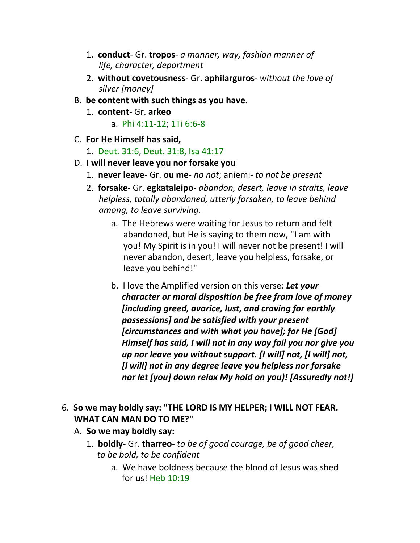- 1. **conduct** Gr. **tropos** *a manner, way, fashion manner of life, character, deportment*
- 2. **without covetousness** Gr. **aphilarguros** *without the love of silver [money]*
- B. **be content with such things as you have.**
	- 1. **content** Gr. **arkeo**
		- a. Phi 4:11-12; 1Ti 6:6-8
- C. **For He Himself has said,**
	- 1. Deut. 31:6, Deut. 31:8, Isa 41:17
- D. **I will never leave you nor forsake you**
	- 1. **never leave** Gr. **ou me** *no not*; aniemi- *to not be present*
	- 2. **forsake** Gr. **egkataleipo** *abandon, desert, leave in straits, leave helpless, totally abandoned, utterly forsaken, to leave behind among, to leave surviving.*
		- a. The Hebrews were waiting for Jesus to return and felt abandoned, but He is saying to them now, "I am with you! My Spirit is in you! I will never not be present! I will never abandon, desert, leave you helpless, forsake, or leave you behind!"
		- b. I love the Amplified version on this verse: *Let your character or moral disposition be free from love of money [including greed, avarice, lust, and craving for earthly possessions] and be satisfied with your present [circumstances and with what you have]; for He [God] Himself has said, I will not in any way fail you nor give you up nor leave you without support. [I will] not, [I will] not, [I will] not in any degree leave you helpless nor forsake nor let [you] down relax My hold on you)! [Assuredly not!]*
- 6. **So we may boldly say: "THE LORD IS MY HELPER; I WILL NOT FEAR. WHAT CAN MAN DO TO ME?"**
	- A. **So we may boldly say:**
		- 1. **boldly-** Gr. **tharreo** *to be of good courage, be of good cheer, to be bold, to be confident*
			- a. We have boldness because the blood of Jesus was shed for us! Heb 10:19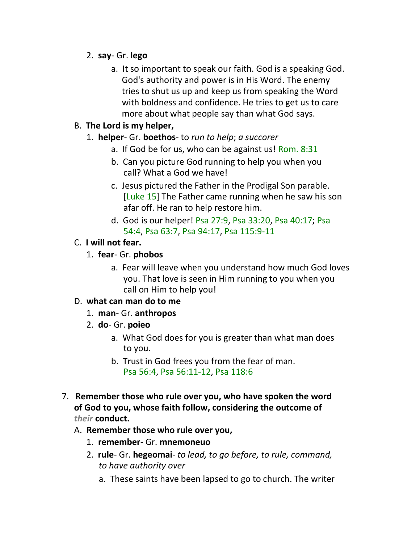- 2. **say** Gr. **lego**
	- a. It so important to speak our faith. God is a speaking God. God's authority and power is in His Word. The enemy tries to shut us up and keep us from speaking the Word with boldness and confidence. He tries to get us to care more about what people say than what God says.

## B. **The Lord is my helper,**

## 1. **helper**- Gr. **boethos**- to *run to help*; *a succorer*

- a. If God be for us, who can be against us! Rom. 8:31
- b. Can you picture God running to help you when you call? What a God we have!
- c. Jesus pictured the Father in the Prodigal Son parable. [Luke 15] The Father came running when he saw his son afar off. He ran to help restore him.
- d. God is our helper! Psa 27:9, Psa 33:20, Psa 40:17; Psa 54:4, Psa 63:7, Psa 94:17, Psa 115:9-11

## C. **I will not fear.**

- 1. **fear** Gr. **phobos**
	- a. Fear will leave when you understand how much God loves you. That love is seen in Him running to you when you call on Him to help you!

# D. **what can man do to me**

- 1. **man** Gr. **anthropos**
- 2. **do** Gr. **poieo**
	- a. What God does for you is greater than what man does to you.
	- b. Trust in God frees you from the fear of man. Psa 56:4, Psa 56:11-12, Psa 118:6
- 7. **Remember those who rule over you, who have spoken the word of God to you, whose faith follow, considering the outcome of**  *their* **conduct.**

#### A. **Remember those who rule over you,**

- 1. **remember** Gr. **mnemoneuo**
- 2. **rule** Gr. **hegeomai** *to lead, to go before, to rule, command, to have authority over*
	- a. These saints have been lapsed to go to church. The writer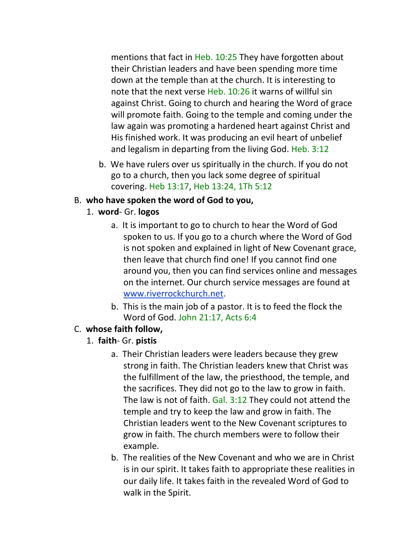mentions that fact in Heb. 10:25 They have forgotten about their Christian leaders and have been spending more time down at the temple than at the church. It is interesting to note that the next verse Heb. 10:26 it warns of willful sin against Christ. Going to church and hearing the Word of grace will promote faith. Going to the temple and coming under the law again was promoting a hardened heart against Christ and His finished work. It was producing an evil heart of unbelief and legalism in departing from the living God. Heb. 3:12

b. We have rulers over us spiritually in the church. If you do not go to a church, then you lack some degree of spiritual covering. Heb 13:17, Heb 13:24, 1Th 5:12

#### B. **who have spoken the word of God to you,**

- 1. **word** Gr. **logos**
	- a. It is important to go to church to hear the Word of God spoken to us. If you go to a church where the Word of God is not spoken and explained in light of New Covenant grace, then leave that church find one! If you cannot find one around you, then you can find services online and messages on the internet. Our church service messages are found at www.riverrockchurch.net.
	- b. This is the main job of a pastor. It is to feed the flock the Word of God. John 21:17, Acts 6:4

#### C. **whose faith follow,**

- 1. **faith** Gr. **pistis**
	- a. Their Christian leaders were leaders because they grew strong in faith. The Christian leaders knew that Christ was the fulfillment of the law, the priesthood, the temple, and the sacrifices. They did not go to the law to grow in faith. The law is not of faith. Gal. 3:12 They could not attend the temple and try to keep the law and grow in faith. The Christian leaders went to the New Covenant scriptures to grow in faith. The church members were to follow their example.
	- b. The realities of the New Covenant and who we are in Christ is in our spirit. It takes faith to appropriate these realities in our daily life. It takes faith in the revealed Word of God to walk in the Spirit.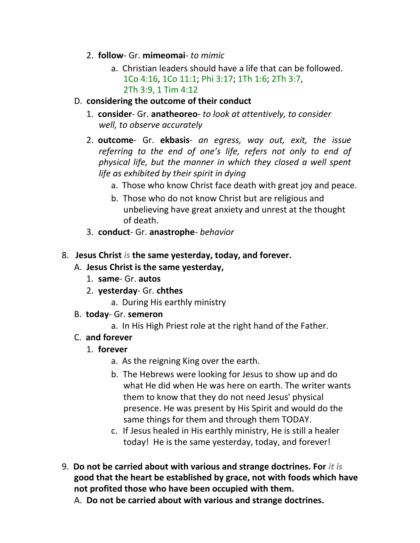- 2. **follow** Gr. **mimeomai** *to mimic*
	- a. Christian leaders should have a life that can be followed. 1Co 4:16, 1Co 11:1; Phi 3:17; 1Th 1:6; 2Th 3:7, 2Th 3:9, 1 Tim 4:12
- D. **considering the outcome of their conduct**
	- 1. **consider** Gr. **anatheoreo** *to look at attentively, to consider well, to observe accurately*
	- 2. **outcome** Gr. **ekbasis** *an egress, way out, exit, the issue referring to the end of one's life, refers not only to end of physical life, but the manner in which they closed a well spent life as exhibited by their spirit in dying*
		- a. Those who know Christ face death with great joy and peace.
		- b. Those who do not know Christ but are religious and unbelieving have great anxiety and unrest at the thought of death.
	- 3. **conduct** Gr. **anastrophe** *behavior*
- 8. **Jesus Christ** *is* **the same yesterday, today, and forever.**
	- A. **Jesus Christ is the same yesterday,**
		- 1. **same** Gr. **autos**
		- 2. **yesterday** Gr. **chthes**
			- a. During His earthly ministry
	- B. **today** Gr. **semeron**
		- a. In His High Priest role at the right hand of the Father.
	- C. **and forever**
		- 1. **forever**
			- a. As the reigning King over the earth.
			- b. The Hebrews were looking for Jesus to show up and do what He did when He was here on earth. The writer wants them to know that they do not need Jesus' physical presence. He was present by His Spirit and would do the same things for them and through them TODAY.
			- c. If Jesus healed in His earthly ministry, He is still a healer today! He is the same yesterday, today, and forever!
- 9. **Do not be carried about with various and strange doctrines. For** *it is* **good that the heart be established by grace, not with foods which have not profited those who have been occupied with them.**
	- A. **Do not be carried about with various and strange doctrines.**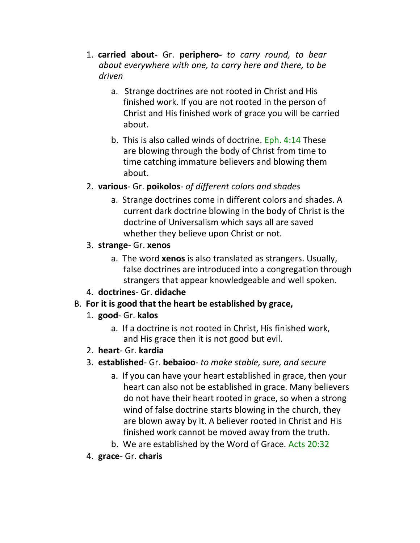- 1. **carried about-** Gr. **periphero-** *to carry round, to bear about everywhere with one, to carry here and there, to be driven*
	- a. Strange doctrines are not rooted in Christ and His finished work. If you are not rooted in the person of Christ and His finished work of grace you will be carried about.
	- b. This is also called winds of doctrine. Eph. 4:14 These are blowing through the body of Christ from time to time catching immature believers and blowing them about.
- 2. **various** Gr. **poikolos** *of different colors and shades*
	- a. Strange doctrines come in different colors and shades. A current dark doctrine blowing in the body of Christ is the doctrine of Universalism which says all are saved whether they believe upon Christ or not.
- 3. **strange** Gr. **xenos**
	- a. The word **xenos** is also translated as strangers. Usually, false doctrines are introduced into a congregation through strangers that appear knowledgeable and well spoken.
- 4. **doctrines** Gr. **didache**

# B. **For it is good that the heart be established by grace,**

- 1. **good** Gr. **kalos**
	- a. If a doctrine is not rooted in Christ, His finished work, and His grace then it is not good but evil.
- 2. **heart** Gr. **kardia**
- 3. **established** Gr. **bebaioo** *to make stable, sure, and secure*
	- a. If you can have your heart established in grace, then your heart can also not be established in grace. Many believers do not have their heart rooted in grace, so when a strong wind of false doctrine starts blowing in the church, they are blown away by it. A believer rooted in Christ and His finished work cannot be moved away from the truth.
	- b. We are established by the Word of Grace. Acts 20:32
- 4. **grace** Gr. **charis**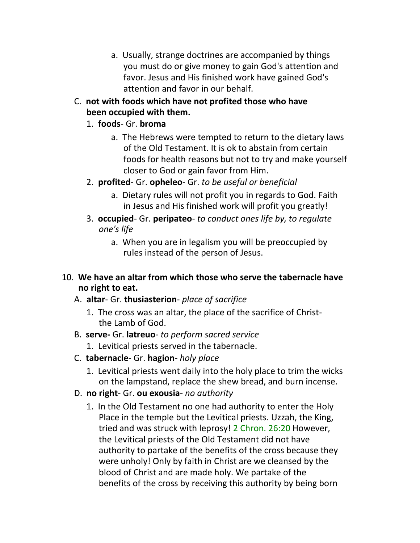- a. Usually, strange doctrines are accompanied by things you must do or give money to gain God's attention and favor. Jesus and His finished work have gained God's attention and favor in our behalf.
- C. **not with foods which have not profited those who have been occupied with them.**
	- 1. **foods** Gr. **broma**
		- a. The Hebrews were tempted to return to the dietary laws of the Old Testament. It is ok to abstain from certain foods for health reasons but not to try and make yourself closer to God or gain favor from Him.
	- 2. **profited** Gr. **opheleo** Gr. *to be useful or beneficial*
		- a. Dietary rules will not profit you in regards to God. Faith in Jesus and His finished work will profit you greatly!
	- 3. **occupied** Gr. **peripateo** *to conduct ones life by, to regulate one's life*
		- a. When you are in legalism you will be preoccupied by rules instead of the person of Jesus.
- 10. **We have an altar from which those who serve the tabernacle have no right to eat.**
	- A. **altar** Gr. **thusiasterion** *place of sacrifice*
		- 1. The cross was an altar, the place of the sacrifice of Christthe Lamb of God.
	- B. **serve-** Gr. **latreuo** *to perform sacred service*
		- 1. Levitical priests served in the tabernacle.
	- C. **tabernacle** Gr. **hagion** *holy place*
		- 1. Levitical priests went daily into the holy place to trim the wicks on the lampstand, replace the shew bread, and burn incense.
	- D. **no right** Gr. **ou exousia** *no authority*
		- 1. In the Old Testament no one had authority to enter the Holy Place in the temple but the Levitical priests. Uzzah, the King, tried and was struck with leprosy! 2 Chron. 26:20 However, the Levitical priests of the Old Testament did not have authority to partake of the benefits of the cross because they were unholy! Only by faith in Christ are we cleansed by the blood of Christ and are made holy. We partake of the benefits of the cross by receiving this authority by being born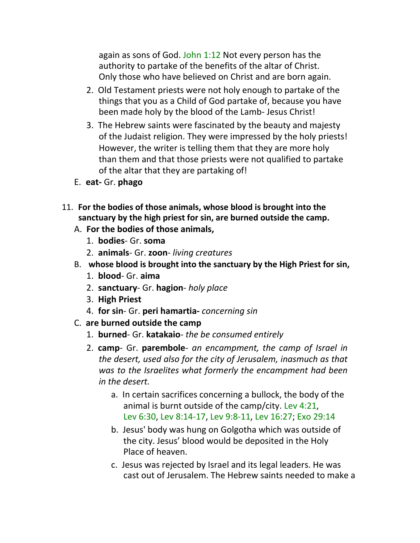again as sons of God. John 1:12 Not every person has the authority to partake of the benefits of the altar of Christ. Only those who have believed on Christ and are born again.

- 2. Old Testament priests were not holy enough to partake of the things that you as a Child of God partake of, because you have been made holy by the blood of the Lamb- Jesus Christ!
- 3. The Hebrew saints were fascinated by the beauty and majesty of the Judaist religion. They were impressed by the holy priests! However, the writer is telling them that they are more holy than them and that those priests were not qualified to partake of the altar that they are partaking of!
- E. **eat-** Gr. **phago**
- 11. **For the bodies of those animals, whose blood is brought into the sanctuary by the high priest for sin, are burned outside the camp.**
	- A. **For the bodies of those animals,**
		- 1. **bodies** Gr. **soma**
		- 2. **animals** Gr. **zoon** *living creatures*
	- B. **whose blood is brought into the sanctuary by the High Priest for sin,**
		- 1. **blood** Gr. **aima**
		- 2. **sanctuary** Gr. **hagion** *holy place*
		- 3. **High Priest**
		- 4. **for sin** Gr. **peri hamartia-** *concerning sin*
	- C. **are burned outside the camp**
		- 1. **burned** Gr. **katakaio** *the be consumed entirely*
		- 2. **camp** Gr. **parembole** *an encampment, the camp of Israel in the desert, used also for the city of Jerusalem, inasmuch as that was to the Israelites what formerly the encampment had been in the desert.*
			- a. In certain sacrifices concerning a bullock, the body of the animal is burnt outside of the camp/city. Lev 4:21, Lev 6:30, Lev 8:14-17, Lev 9:8-11, Lev 16:27; Exo 29:14
			- b. Jesus' body was hung on Golgotha which was outside of the city. Jesus' blood would be deposited in the Holy Place of heaven.
			- c. Jesus was rejected by Israel and its legal leaders. He was cast out of Jerusalem. The Hebrew saints needed to make a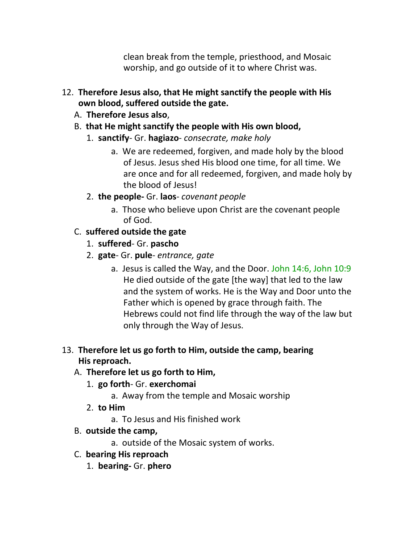clean break from the temple, priesthood, and Mosaic worship, and go outside of it to where Christ was.

- 12. **Therefore Jesus also, that He might sanctify the people with His own blood, suffered outside the gate.**
	- A. **Therefore Jesus also**,
	- B. **that He might sanctify the people with His own blood,**
		- 1. **sanctify** Gr. **hagiazo** *consecrate, make holy*
			- a. We are redeemed, forgiven, and made holy by the blood of Jesus. Jesus shed His blood one time, for all time. We are once and for all redeemed, forgiven, and made holy by the blood of Jesus!
		- 2. **the people-** Gr. **laos** *covenant people*
			- a. Those who believe upon Christ are the covenant people of God.
	- C. **suffered outside the gate**
		- 1. **suffered** Gr. **pascho**
		- 2. **gate** Gr. **pule** *entrance, gate*
			- a. Jesus is called the Way, and the Door. John 14:6, John 10:9 He died outside of the gate [the way] that led to the law and the system of works. He is the Way and Door unto the Father which is opened by grace through faith. The Hebrews could not find life through the way of the law but only through the Way of Jesus.
- 13. **Therefore let us go forth to Him, outside the camp, bearing His reproach.**
	- A. **Therefore let us go forth to Him,**
		- 1. **go forth** Gr. **exerchomai**
			- a. Away from the temple and Mosaic worship
		- 2. **to Him**
			- a. To Jesus and His finished work
	- B. **outside the camp,**
		- a. outside of the Mosaic system of works.
	- C. **bearing His reproach**
		- 1. **bearing-** Gr. **phero**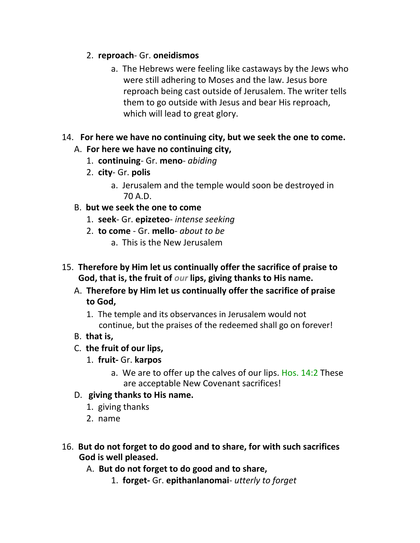- 2. **reproach** Gr. **oneidismos**
	- a. The Hebrews were feeling like castaways by the Jews who were still adhering to Moses and the law. Jesus bore reproach being cast outside of Jerusalem. The writer tells them to go outside with Jesus and bear His reproach, which will lead to great glory.
- 14. **For here we have no continuing city, but we seek the one to come.**
	- A. **For here we have no continuing city,**
		- 1. **continuing** Gr. **meno** *abiding*
		- 2. **city** Gr. **polis**
			- a. Jerusalem and the temple would soon be destroyed in 70 A.D.
	- B. **but we seek the one to come**
		- 1. **seek** Gr. **epizeteo** *intense seeking*
		- 2. **to come**  Gr. **mello** *about to be*
			- a. This is the New Jerusalem
- 15. **Therefore by Him let us continually offer the sacrifice of praise to God, that is, the fruit of** *our* **lips, giving thanks to His name.**
	- A. **Therefore by Him let us continually offer the sacrifice of praise to God,**
		- 1. The temple and its observances in Jerusalem would not continue, but the praises of the redeemed shall go on forever!
	- B. **that is,**
	- C. **the fruit of our lips,**
		- 1. **fruit-** Gr. **karpos**
			- a. We are to offer up the calves of our lips. Hos. 14:2 These are acceptable New Covenant sacrifices!
	- D. **giving thanks to His name.**
		- 1. giving thanks
		- 2. name
- 16. **But do not forget to do good and to share, for with such sacrifices God is well pleased.**
	- A. **But do not forget to do good and to share,**
		- 1. **forget-** Gr. **epithanlanomai** *utterly to forget*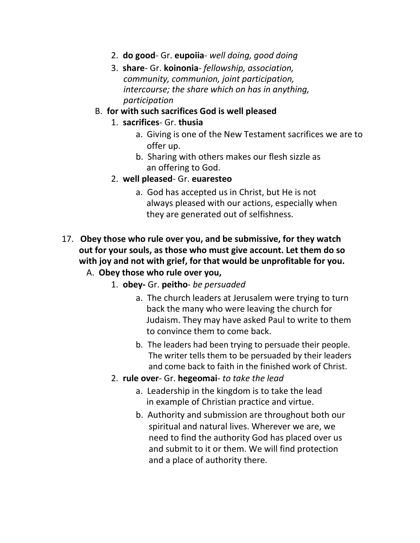- 2. **do good** Gr. **eupoiia** *well doing, good doing*
- 3. **share** Gr. **koinonia** *fellowship, association, community, communion, joint participation, intercourse; the share which on has in anything, participation*

#### B. **for with such sacrifices God is well pleased**

- 1. **sacrifices** Gr. **thusia**
	- a. Giving is one of the New Testament sacrifices we are to offer up.
	- b. Sharing with others makes our flesh sizzle as an offering to God.
- 2. **well pleased** Gr. **euaresteo**
	- a. God has accepted us in Christ, but He is not always pleased with our actions, especially when they are generated out of selfishness.
- 17. **Obey those who rule over you, and be submissive, for they watch out for your souls, as those who must give account. Let them do so with joy and not with grief, for that would be unprofitable for you.**
	- A. **Obey those who rule over you,**
		- 1. **obey-** Gr. **peitho** *be persuaded*
			- a. The church leaders at Jerusalem were trying to turn back the many who were leaving the church for Judaism. They may have asked Paul to write to them to convince them to come back.
			- b. The leaders had been trying to persuade their people. The writer tells them to be persuaded by their leaders and come back to faith in the finished work of Christ.
		- 2. **rule over** Gr. **hegeomai** *to take the lead*
			- a. Leadership in the kingdom is to take the lead in example of Christian practice and virtue.
			- b. Authority and submission are throughout both our spiritual and natural lives. Wherever we are, we need to find the authority God has placed over us and submit to it or them. We will find protection and a place of authority there.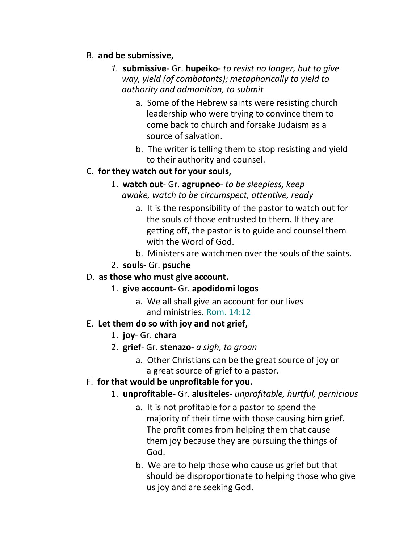#### B. **and be submissive,**

- *1.* **submissive** Gr. **hupeiko** *to resist no longer, but to give way, yield (of combatants); metaphorically to yield to authority and admonition, to submit*
	- a. Some of the Hebrew saints were resisting church leadership who were trying to convince them to come back to church and forsake Judaism as a source of salvation.
	- b. The writer is telling them to stop resisting and yield to their authority and counsel.

#### C. **for they watch out for your souls,**

- 1. **watch out** Gr. **agrupneo** *to be sleepless, keep awake, watch to be circumspect, attentive, ready*
	- a. It is the responsibility of the pastor to watch out for the souls of those entrusted to them. If they are getting off, the pastor is to guide and counsel them with the Word of God.
	- b. Ministers are watchmen over the souls of the saints.
- 2. **souls** Gr. **psuche**

#### D. **as those who must give account.**

- 1. **give account-** Gr. **apodidomi logos**
	- a. We all shall give an account for our lives and ministries. Rom. 14:12

# E. **Let them do so with joy and not grief,**

- 1. **joy** Gr. **chara**
- 2. **grief** Gr. **stenazo-** *a sigh, to groan*
	- a. Other Christians can be the great source of joy or a great source of grief to a pastor.

# F. **for that would be unprofitable for you.**

- 1. **unprofitable** Gr. **alusiteles** *unprofitable, hurtful, pernicious*
	- a. It is not profitable for a pastor to spend the majority of their time with those causing him grief. The profit comes from helping them that cause them joy because they are pursuing the things of God.
	- b. We are to help those who cause us grief but that should be disproportionate to helping those who give us joy and are seeking God.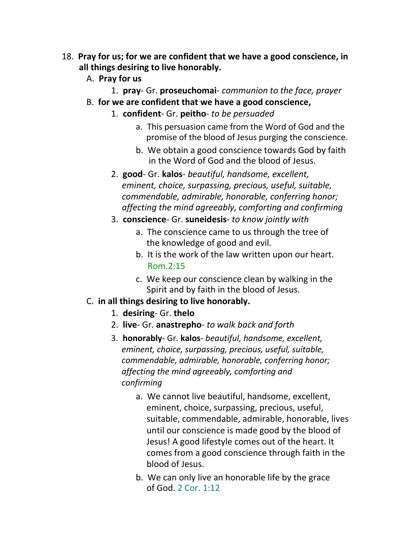- 18. **Pray for us; for we are confident that we have a good conscience, in all things desiring to live honorably.**
	- A. **Pray for us**
		- 1. **pray** Gr. **proseuchomai** *communion to the face, prayer*
	- B. **for we are confident that we have a good conscience,**
		- 1. **confident** Gr. **peitho** *to be persuaded*
			- a. This persuasion came from the Word of God and the promise of the blood of Jesus purging the conscience.
			- b. We obtain a good conscience towards God by faith in the Word of God and the blood of Jesus.
		- 2. **good** Gr. **kalos** *beautiful, handsome, excellent, eminent, choice, surpassing, precious, useful, suitable, commendable, admirable, honorable, conferring honor; affecting the mind agreeably, comforting and confirming*
		- 3. **conscience** Gr. **suneidesis** *to know jointly with*
			- a. The conscience came to us through the tree of the knowledge of good and evil.
			- b. It is the work of the law written upon our heart. Rom.2:15
			- c. We keep our conscience clean by walking in the Spirit and by faith in the blood of Jesus.

#### C. **in all things desiring to live honorably.**

- 1. **desiring** Gr. **thelo**
- 2. **live** Gr. **anastrepho** *to walk back and forth*
- 3. **honorably** Gr. **kalos** *beautiful, handsome, excellent, eminent, choice, surpassing, precious, useful, suitable, commendable, admirable, honorable, conferring honor; affecting the mind agreeably, comforting and confirming*
	- a. We cannot live beautiful, handsome, excellent, eminent, choice, surpassing, precious, useful, suitable, commendable, admirable, honorable, lives until our conscience is made good by the blood of Jesus! A good lifestyle comes out of the heart. It comes from a good conscience through faith in the blood of Jesus.
	- b. We can only live an honorable life by the grace of God. 2 Cor. 1:12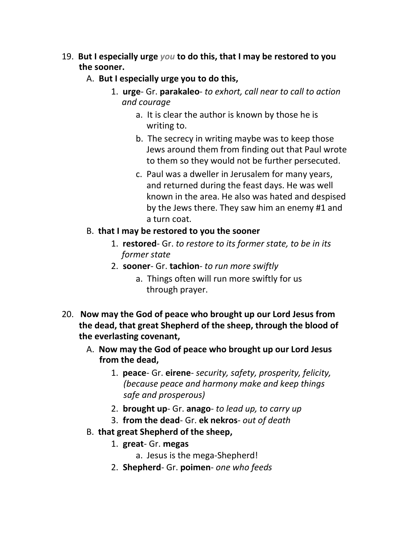- 19. **But I especially urge** *you* **to do this, that I may be restored to you the sooner.**
	- A. **But I especially urge you to do this,**
		- 1. **urge** Gr. **parakaleo** *to exhort, call near to call to action and courage*
			- a. It is clear the author is known by those he is writing to.
			- b. The secrecy in writing maybe was to keep those Jews around them from finding out that Paul wrote to them so they would not be further persecuted.
			- c. Paul was a dweller in Jerusalem for many years, and returned during the feast days. He was well known in the area. He also was hated and despised by the Jews there. They saw him an enemy #1 and a turn coat.

#### B. **that I may be restored to you the sooner**

- 1. **restored** Gr. *to restore to its former state, to be in its former state*
- 2. **sooner** Gr. **tachion** *to run more swiftly*
	- a. Things often will run more swiftly for us through prayer.
- 20. **Now may the God of peace who brought up our Lord Jesus from the dead, that great Shepherd of the sheep, through the blood of the everlasting covenant,**
	- A. **Now may the God of peace who brought up our Lord Jesus from the dead,**
		- 1. **peace** Gr. **eirene** *security, safety, prosperity, felicity, (because peace and harmony make and keep things safe and prosperous)*
		- 2. **brought up** Gr. **anago** *to lead up, to carry up*
		- 3. **from the dead** Gr. **ek nekros** *out of death*
	- B. **that great Shepherd of the sheep,**
		- 1. **great** Gr. **megas**
			- a. Jesus is the mega-Shepherd!
		- 2. **Shepherd** Gr. **poimen** *one who feeds*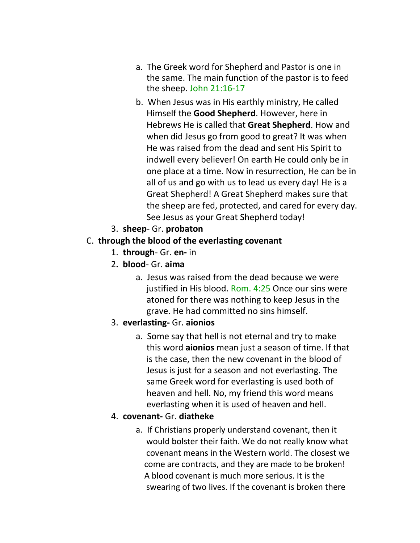- a. The Greek word for Shepherd and Pastor is one in the same. The main function of the pastor is to feed the sheep. John 21:16-17
- b. When Jesus was in His earthly ministry, He called Himself the **Good Shepherd**. However, here in Hebrews He is called that **Great Shepherd**. How and when did Jesus go from good to great? It was when He was raised from the dead and sent His Spirit to indwell every believer! On earth He could only be in one place at a time. Now in resurrection, He can be in all of us and go with us to lead us every day! He is a Great Shepherd! A Great Shepherd makes sure that the sheep are fed, protected, and cared for every day. See Jesus as your Great Shepherd today!
- 3. **sheep** Gr. **probaton**

# C. **through the blood of the everlasting covenant**

- 1. **through** Gr. **en-** in
- 2**. blood** Gr. **aima**
	- a. Jesus was raised from the dead because we were justified in His blood. Rom. 4:25 Once our sins were atoned for there was nothing to keep Jesus in the grave. He had committed no sins himself.

# 3. **everlasting-** Gr. **aionios**

a. Some say that hell is not eternal and try to make this word **aionios** mean just a season of time. If that is the case, then the new covenant in the blood of Jesus is just for a season and not everlasting. The same Greek word for everlasting is used both of heaven and hell. No, my friend this word means everlasting when it is used of heaven and hell.

# 4. **covenant-** Gr. **diatheke**

a. If Christians properly understand covenant, then it would bolster their faith. We do not really know what covenant means in the Western world. The closest we come are contracts, and they are made to be broken! A blood covenant is much more serious. It is the swearing of two lives. If the covenant is broken there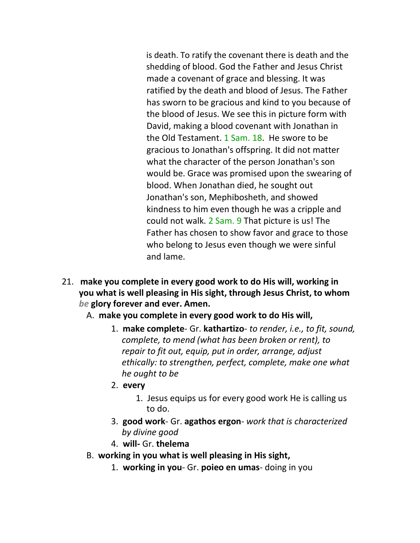is death. To ratify the covenant there is death and the shedding of blood. God the Father and Jesus Christ made a covenant of grace and blessing. It was ratified by the death and blood of Jesus. The Father has sworn to be gracious and kind to you because of the blood of Jesus. We see this in picture form with David, making a blood covenant with Jonathan in the Old Testament. 1 Sam. 18. He swore to be gracious to Jonathan's offspring. It did not matter what the character of the person Jonathan's son would be. Grace was promised upon the swearing of blood. When Jonathan died, he sought out Jonathan's son, Mephibosheth, and showed kindness to him even though he was a cripple and could not walk. 2 Sam. 9 That picture is us! The Father has chosen to show favor and grace to those who belong to Jesus even though we were sinful and lame.

- 21. **make you complete in every good work to do His will, working in you what is well pleasing in His sight, through Jesus Christ, to whom**  *be* **glory forever and ever. Amen.**
	- A. **make you complete in every good work to do His will,**
		- 1. **make complete** Gr. **kathartizo** *to render, i.e., to fit, sound, complete, to mend (what has been broken or rent), to repair to fit out, equip, put in order, arrange, adjust ethically: to strengthen, perfect, complete, make one what he ought to be*
		- 2. **every**
			- 1. Jesus equips us for every good work He is calling us to do.
		- 3. **good work** Gr. **agathos ergon** *work that is characterized by divine good*
		- 4. **will-** Gr. **thelema**
	- B. **working in you what is well pleasing in His sight,**
		- 1. **working in you** Gr. **poieo en umas** doing in you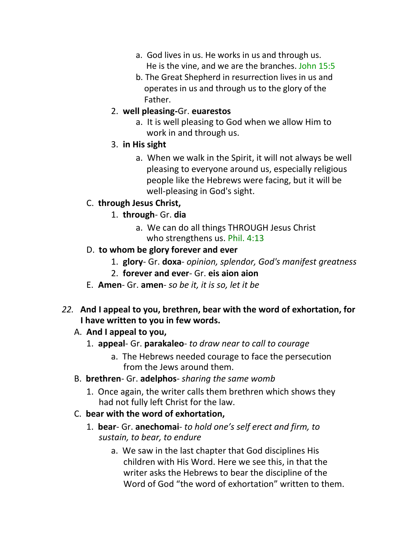- a. God lives in us. He works in us and through us. He is the vine, and we are the branches. John 15:5
- b. The Great Shepherd in resurrection lives in us and operates in us and through us to the glory of the Father.
- 2. **well pleasing-**Gr. **euarestos**
	- a. It is well pleasing to God when we allow Him to work in and through us.
- 3. **in His sight**
	- a. When we walk in the Spirit, it will not always be well pleasing to everyone around us, especially religious people like the Hebrews were facing, but it will be well-pleasing in God's sight.

# C. **through Jesus Christ,**

- 1. **through** Gr. **dia**
	- a. We can do all things THROUGH Jesus Christ who strengthens us. Phil. 4:13
- D. **to whom be glory forever and ever**
	- 1. **glory** Gr. **doxa** *opinion, splendor, God's manifest greatness*
	- 2. **forever and ever** Gr. **eis aion aion**
- E. **Amen** Gr. **amen** *so be it, it is so, let it be*
- *22.* **And I appeal to you, brethren, bear with the word of exhortation, for I have written to you in few words.**

# A. **And I appeal to you,**

- 1. **appeal** Gr. **parakaleo** *to draw near to call to courage*
	- a. The Hebrews needed courage to face the persecution from the Jews around them.
- B. **brethren** Gr. **adelphos** *sharing the same womb*
	- 1. Once again, the writer calls them brethren which shows they had not fully left Christ for the law.
- C. **bear with the word of exhortation,**
	- 1. **bear** Gr. **anechomai** *to hold one's self erect and firm, to sustain, to bear, to endure*
		- a. We saw in the last chapter that God disciplines His children with His Word. Here we see this, in that the writer asks the Hebrews to bear the discipline of the Word of God "the word of exhortation" written to them.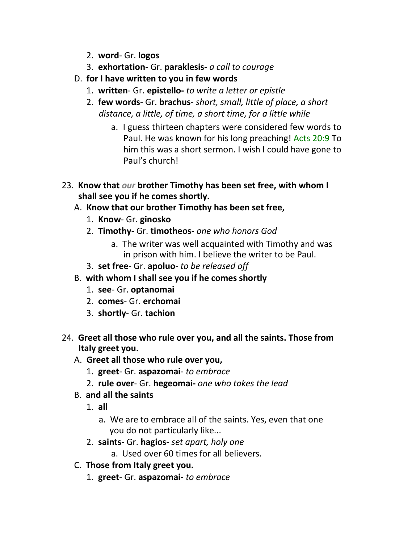- 2. **word** Gr. **logos**
- 3. **exhortation** Gr. **paraklesis** *a call to courage*
- D. **for I have written to you in few words**
	- 1. **written** Gr. **epistello-** *to write a letter or epistle*
	- 2. **few words** Gr. **brachus** *short, small, little of place, a short distance, a little, of time, a short time, for a little while*
		- a. I guess thirteen chapters were considered few words to Paul. He was known for his long preaching! Acts 20:9 To him this was a short sermon. I wish I could have gone to Paul's church!
- 23. **Know that** *our* **brother Timothy has been set free, with whom I shall see you if he comes shortly.**
	- A. **Know that our brother Timothy has been set free,**
		- 1. **Know** Gr. **ginosko**
		- 2. **Timothy** Gr. **timotheos** *one who honors God*
			- a. The writer was well acquainted with Timothy and was in prison with him. I believe the writer to be Paul.
		- 3. **set free** Gr. **apoluo** *to be released off*
	- B. **with whom I shall see you if he comes shortly**
		- 1. **see** Gr. **optanomai**
		- 2. **comes** Gr. **erchomai**
		- 3. **shortly** Gr. **tachion**
- 24. **Greet all those who rule over you, and all the saints. Those from Italy greet you.**
	- A. **Greet all those who rule over you,**
		- 1. **greet** Gr. **aspazomai** *to embrace*
		- 2. **rule over** Gr. **hegeomai-** *one who takes the lead*
	- B. **and all the saints**
		- 1. **all**
			- a. We are to embrace all of the saints. Yes, even that one you do not particularly like...
		- 2. **saints** Gr. **hagios** *set apart, holy one*
			- a. Used over 60 times for all believers.
	- C. **Those from Italy greet you.**
		- 1. **greet** Gr. **aspazomai-** *to embrace*